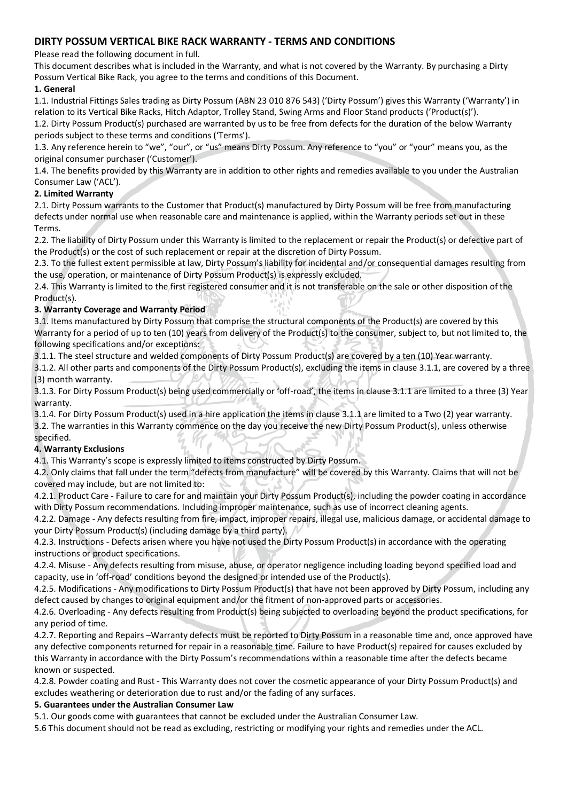# **DIRTY POSSUM VERTICAL BIKE RACK WARRANTY - TERMS AND CONDITIONS**

Please read the following document in full.

This document describes what is included in the Warranty, and what is not covered by the Warranty. By purchasing a Dirty Possum Vertical Bike Rack, you agree to the terms and conditions of this Document.

## **1. General**

1.1. Industrial Fittings Sales trading as Dirty Possum (ABN 23 010 876 543) ('Dirty Possum') gives this Warranty ('Warranty') in relation to its Vertical Bike Racks, Hitch Adaptor, Trolley Stand, Swing Arms and Floor Stand products ('Product(s)').

1.2. Dirty Possum Product(s) purchased are warranted by us to be free from defects for the duration of the below Warranty periods subject to these terms and conditions ('Terms').

1.3. Any reference herein to "we", "our", or "us" means Dirty Possum. Any reference to "you" or "your" means you, as the original consumer purchaser ('Customer').

1.4. The benefits provided by this Warranty are in addition to other rights and remedies available to you under the Australian Consumer Law ('ACL').

## **2. Limited Warranty**

2.1. Dirty Possum warrants to the Customer that Product(s) manufactured by Dirty Possum will be free from manufacturing defects under normal use when reasonable care and maintenance is applied, within the Warranty periods set out in these Terms.

2.2. The liability of Dirty Possum under this Warranty is limited to the replacement or repair the Product(s) or defective part of the Product(s) or the cost of such replacement or repair at the discretion of Dirty Possum.

2.3. To the fullest extent permissible at law, Dirty Possum's liability for incidental and/or consequential damages resulting from the use, operation, or maintenance of Dirty Possum Product(s) is expressly excluded.

2.4. This Warranty is limited to the first registered consumer and it is not transferable on the sale or other disposition of the Product(s).

### **3. Warranty Coverage and Warranty Period**

3.1. Items manufactured by Dirty Possum that comprise the structural components of the Product(s) are covered by this Warranty for a period of up to ten (10) years from delivery of the Product(s) to the consumer, subject to, but not limited to, the following specifications and/or exceptions:

3.1.1. The steel structure and welded components of Dirty Possum Product(s) are covered by a ten (10) Year warranty.

3.1.2. All other parts and components of the Dirty Possum Product(s), excluding the items in clause 3.1.1, are covered by a three (3) month warranty.

3.1.3. For Dirty Possum Product(s) being used commercially or 'off-road', the items in clause 3.1.1 are limited to a three (3) Year warranty.

3.1.4. For Dirty Possum Product(s) used in a hire application the items in clause 3.1.1 are limited to a Two (2) year warranty.

3.2. The warranties in this Warranty commence on the day you receive the new Dirty Possum Product(s), unless otherwise

### specified.

### **4. Warranty Exclusions**

4.1. This Warranty's scope is expressly limited to items constructed by Dirty Possum.

4.2. Only claims that fall under the term "defects from manufacture" will be covered by this Warranty. Claims that will not be covered may include, but are not limited to:

4.2.1. Product Care - Failure to care for and maintain your Dirty Possum Product(s), including the powder coating in accordance with Dirty Possum recommendations. Including improper maintenance, such as use of incorrect cleaning agents.

4.2.2. Damage - Any defects resulting from fire, impact, improper repairs, illegal use, malicious damage, or accidental damage to your Dirty Possum Product(s) (including damage by a third party).

4.2.3. Instructions - Defects arisen where you have not used the Dirty Possum Product(s) in accordance with the operating instructions or product specifications.

4.2.4. Misuse - Any defects resulting from misuse, abuse, or operator negligence including loading beyond specified load and capacity, use in 'off-road' conditions beyond the designed or intended use of the Product(s).

4.2.5. Modifications - Any modifications to Dirty Possum Product(s) that have not been approved by Dirty Possum, including any defect caused by changes to original equipment and/or the fitment of non-approved parts or accessories.

4.2.6. Overloading - Any defects resulting from Product(s) being subjected to overloading beyond the product specifications, for any period of time.

4.2.7. Reporting and Repairs –Warranty defects must be reported to Dirty Possum in a reasonable time and, once approved have any defective components returned for repair in a reasonable time. Failure to have Product(s) repaired for causes excluded by this Warranty in accordance with the Dirty Possum's recommendations within a reasonable time after the defects became known or suspected.

4.2.8. Powder coating and Rust - This Warranty does not cover the cosmetic appearance of your Dirty Possum Product(s) and excludes weathering or deterioration due to rust and/or the fading of any surfaces.

### **5. Guarantees under the Australian Consumer Law**

5.1. Our goods come with guarantees that cannot be excluded under the Australian Consumer Law.

5.6 This document should not be read as excluding, restricting or modifying your rights and remedies under the ACL.